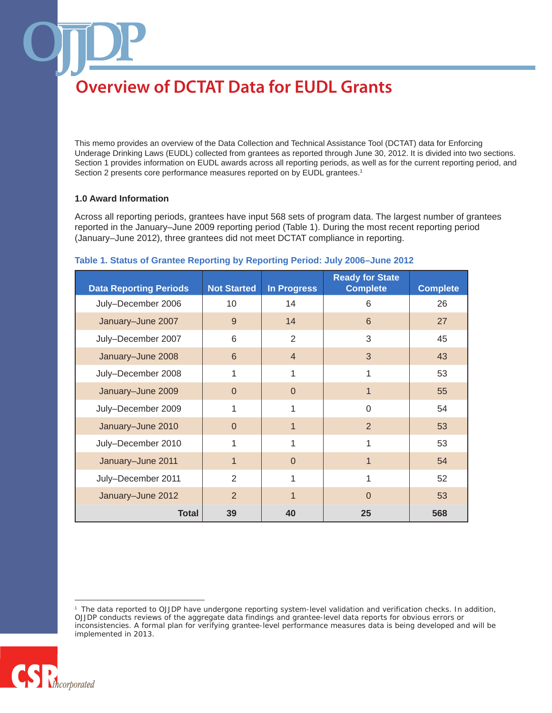This memo provides an overview of the Data Collection and Technical Assistance Tool (DCTAT) data for Enforcing Underage Drinking Laws (EUDL) collected from grantees as reported through June 30, 2012. It is divided into two sections. Section 1 provides information on EUDL awards across all reporting periods, as well as for the current reporting period, and Section 2 presents core performance measures reported on by EUDL grantees.<sup>1</sup>

#### **1.0 Award Information**

Across all reporting periods, grantees have input 568 sets of program data. The largest number of grantees reported in the January–June 2009 reporting period (Table 1). During the most recent reporting period (January–June 2012), three grantees did not meet DCTAT compliance in reporting.

| <b>Data Reporting Periods</b> | <b>Not Started</b> | <b>In Progress</b> | <b>Ready for State</b><br><b>Complete</b> | <b>Complete</b> |
|-------------------------------|--------------------|--------------------|-------------------------------------------|-----------------|
| July-December 2006            | 10                 | 14                 | 6                                         | 26              |
| January-June 2007             | 9                  | 14                 | 6                                         | 27              |
| July-December 2007            | 6                  | 2                  | 3                                         | 45              |
| January-June 2008             | 6                  | $\overline{4}$     | 3                                         | 43              |
| July-December 2008            | 1                  | 1                  | 1                                         | 53              |
| January-June 2009             | $\overline{0}$     | $\Omega$           | 1                                         | 55              |
| July-December 2009            | 1                  | 1                  | $\Omega$                                  | 54              |
| January-June 2010             | $\overline{0}$     | 1                  | $\overline{2}$                            | 53              |
| July-December 2010            | 1                  | 1                  | 1                                         | 53              |
| January-June 2011             | $\mathbf{1}$       | $\Omega$           | 1                                         | 54              |
| July-December 2011            | 2                  | 1                  | 1                                         | 52              |
| January-June 2012             | $\overline{2}$     |                    | $\Omega$                                  | 53              |
| <b>Total</b>                  | 39                 | 40                 | 25                                        | 568             |

#### **Table 1. Status of Grantee Reporting by Reporting Period: July 2006–June 2012**

<sup>1</sup> The data reported to OJJDP have undergone reporting system-level validation and verification checks. In addition, OJJDP conducts reviews of the aggregate data findings and grantee-level data reports for obvious errors or inconsistencies. A formal plan for verifying grantee-level performance measures data is being developed and will be implemented in 2013.

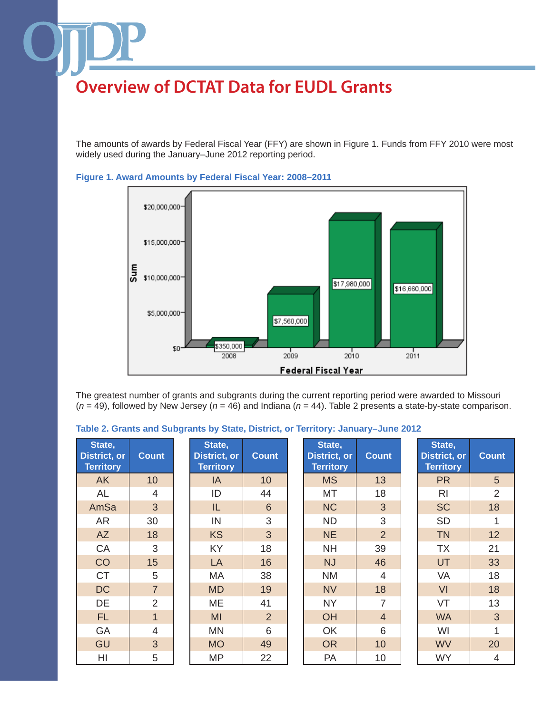The amounts of awards by Federal Fiscal Year (FFY) are shown in Figure 1. Funds from FFY 2010 were most widely used during the January–June 2012 reporting period.



**Figure 1. Award Amounts by Federal Fiscal Year: 2008–2011**

The greatest number of grants and subgrants during the current reporting period were awarded to Missouri (*n* = 49), followed by New Jersey (*n* = 46) and Indiana (*n* = 44). Table 2 presents a state-by-state comparison.

| State,<br><b>District, or</b><br><b>Territory</b> | <b>Count</b>   | State,<br><b>District, or</b><br><b>Territory</b> | <b>Count</b>   | State,<br><b>District, or</b><br><b>Territory</b> | <b>Count</b>   | State,<br><b>District, or</b><br><b>Territory</b> | <b>Count</b>   |
|---------------------------------------------------|----------------|---------------------------------------------------|----------------|---------------------------------------------------|----------------|---------------------------------------------------|----------------|
| <b>AK</b>                                         | 10             | IA                                                | 10             | <b>MS</b>                                         | 13             | <b>PR</b>                                         | 5              |
| AL                                                | 4              | ID                                                | 44             | MT                                                | 18             | R <sub>l</sub>                                    | $\overline{2}$ |
| AmSa                                              | 3              | IL                                                | 6              | <b>NC</b>                                         | 3              | <b>SC</b>                                         | 18             |
| AR                                                | 30             | IN                                                | 3              | <b>ND</b>                                         | 3              | <b>SD</b>                                         |                |
| <b>AZ</b>                                         | 18             | <b>KS</b>                                         | 3              | <b>NE</b>                                         | $\overline{2}$ | <b>TN</b>                                         | 12             |
| CA                                                | 3              | KY                                                | 18             | <b>NH</b>                                         | 39             | ТX                                                | 21             |
| CO                                                | 15             | LA                                                | 16             | <b>NJ</b>                                         | 46             | UT                                                | 33             |
| <b>CT</b>                                         | 5              | МA                                                | 38             | <b>NM</b>                                         | $\overline{4}$ | VA                                                | 18             |
| <b>DC</b>                                         | $\overline{7}$ | <b>MD</b>                                         | 19             | <b>NV</b>                                         | 18             | VI                                                | 18             |
| DE                                                | $\overline{2}$ | ME                                                | 41             | <b>NY</b>                                         | $\overline{7}$ | VT                                                | 13             |
| FL.                                               | $\mathbf{1}$   | MI                                                | $\overline{2}$ | OH                                                | $\overline{4}$ | <b>WA</b>                                         | $\overline{3}$ |
| GA                                                | $\overline{4}$ | MN                                                | 6              | OK                                                | 6              | WI                                                | 1              |
| GU                                                | 3              | <b>MO</b>                                         | 49             | <b>OR</b>                                         | 10             | <b>WV</b>                                         | 20             |
| HI                                                | 5              | <b>MP</b>                                         | 22             | PA                                                | 10             | <b>WY</b>                                         | 4              |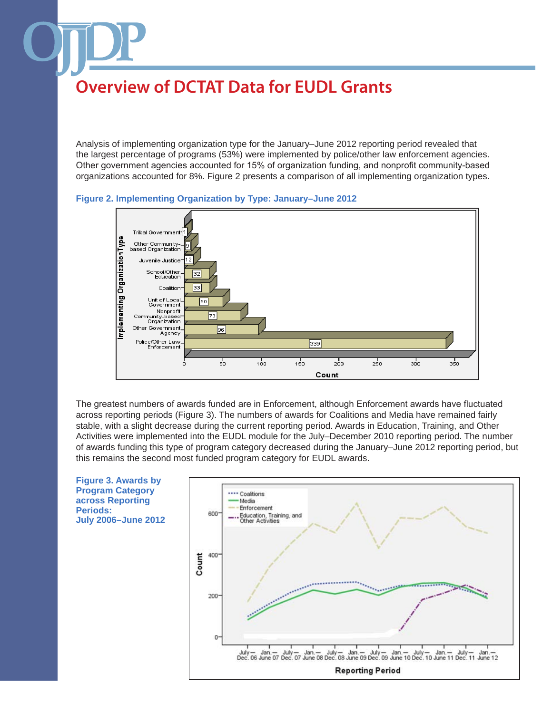Analysis of implementing organization type for the January–June 2012 reporting period revealed that the largest percentage of programs (53%) were implemented by police/other law enforcement agencies. Other government agencies accounted for 15% of organization funding, and nonprofit community-based organizations accounted for 8%. Figure 2 presents a comparison of all implementing organization types.



**Figure 2. Implementing Organization by Type: January–June 2012**

The greatest numbers of awards funded are in Enforcement, although Enforcement awards have fluctuated across reporting periods (Figure 3). The numbers of awards for Coalitions and Media have remained fairly stable, with a slight decrease during the current reporting period. Awards in Education, Training, and Other Activities were implemented into the EUDL module for the July–December 2010 reporting period. The number of awards funding this type of program category decreased during the January–June 2012 reporting period, but this remains the second most funded program category for EUDL awards.

**Figure 3. Awards by Program Category across Reporting Periods: July 2006–June 2012**

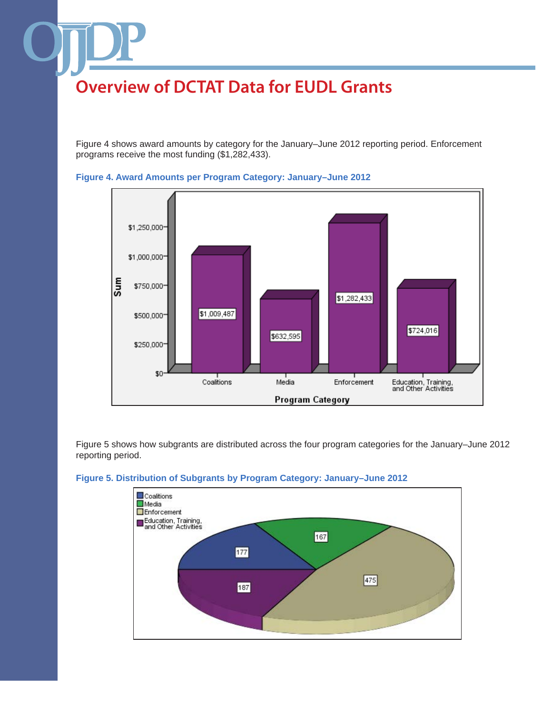Figure 4 shows award amounts by category for the January–June 2012 reporting period. Enforcement programs receive the most funding (\$1,282,433).





Figure 5 shows how subgrants are distributed across the four program categories for the January–June 2012 reporting period.



#### **Figure 5. Distribution of Subgrants by Program Category: January–June 2012**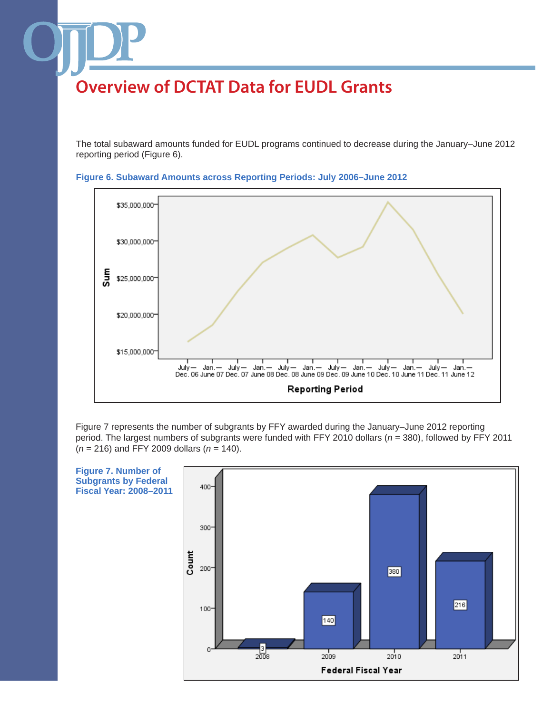The total subaward amounts funded for EUDL programs continued to decrease during the January–June 2012 reporting period (Figure 6).





Figure 7 represents the number of subgrants by FFY awarded during the January–June 2012 reporting period. The largest numbers of subgrants were funded with FFY 2010 dollars (*n* = 380), followed by FFY 2011 (*n* = 216) and FFY 2009 dollars (*n* = 140).

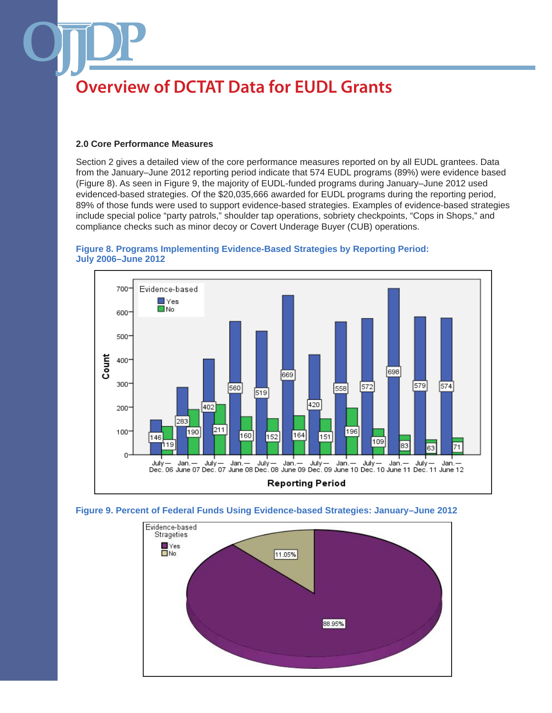#### **2.0 Core Performance Measures**

Section 2 gives a detailed view of the core performance measures reported on by all EUDL grantees. Data from the January–June 2012 reporting period indicate that 574 EUDL programs (89%) were evidence based (Figure 8). As seen in Figure 9, the majority of EUDL-funded programs during January–June 2012 used evidenced-based strategies. Of the \$20,035,666 awarded for EUDL programs during the reporting period, 89% of those funds were used to support evidence-based strategies. Examples of evidence-based strategies include special police "party patrols," shoulder tap operations, sobriety checkpoints, "Cops in Shops," and compliance checks such as minor decoy or Covert Underage Buyer (CUB) operations.







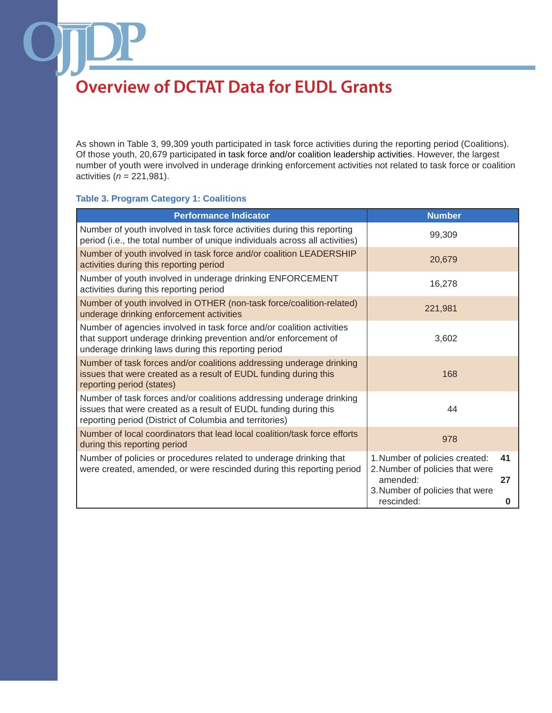As shown in Table 3, 99,309 youth participated in task force activities during the reporting period (Coalitions). Of those youth, 20,679 participated in task force and/or coalition leadership activities. However, the largest number of youth were involved in underage drinking enforcement activities not related to task force or coalition activities (*n* = 221,981).

#### **Table 3. Program Category 1: Coalitions**

| <b>Number</b>                                                                                                                                   |
|-------------------------------------------------------------------------------------------------------------------------------------------------|
| 99,309                                                                                                                                          |
| 20,679                                                                                                                                          |
| 16,278                                                                                                                                          |
| 221,981                                                                                                                                         |
| 3,602                                                                                                                                           |
| 168                                                                                                                                             |
| 44                                                                                                                                              |
| 978                                                                                                                                             |
| 1. Number of policies created:<br>41<br>2. Number of policies that were<br>amended:<br>27<br>3. Number of policies that were<br>rescinded:<br>0 |
|                                                                                                                                                 |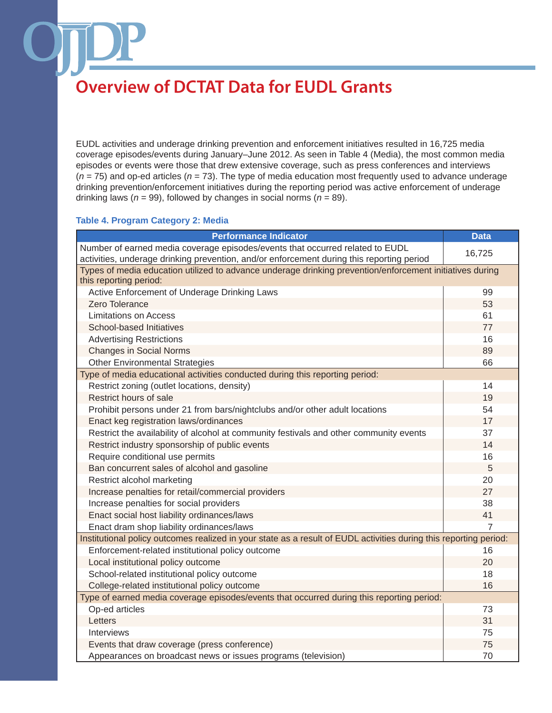EUDL activities and underage drinking prevention and enforcement initiatives resulted in 16,725 media coverage episodes/events during January–June 2012. As seen in Table 4 (Media), the most common media episodes or events were those that drew extensive coverage, such as press conferences and interviews (*n* = 75) and op-ed articles (*n* = 73). The type of media education most frequently used to advance underage drinking prevention/enforcement initiatives during the reporting period was active enforcement of underage drinking laws (*n* = 99), followed by changes in social norms (*n* = 89).

#### **Table 4. Program Category 2: Media**

| <b>Performance Indicator</b>                                                                                                       | <b>Data</b> |
|------------------------------------------------------------------------------------------------------------------------------------|-------------|
| Number of earned media coverage episodes/events that occurred related to EUDL                                                      | 16,725      |
| activities, underage drinking prevention, and/or enforcement during this reporting period                                          |             |
| Types of media education utilized to advance underage drinking prevention/enforcement initiatives during<br>this reporting period: |             |
| Active Enforcement of Underage Drinking Laws                                                                                       | 99          |
| Zero Tolerance                                                                                                                     | 53          |
| <b>Limitations on Access</b>                                                                                                       | 61          |
| School-based Initiatives                                                                                                           | 77          |
| <b>Advertising Restrictions</b>                                                                                                    | 16          |
| <b>Changes in Social Norms</b>                                                                                                     | 89          |
| <b>Other Environmental Strategies</b>                                                                                              | 66          |
| Type of media educational activities conducted during this reporting period:                                                       |             |
| Restrict zoning (outlet locations, density)                                                                                        | 14          |
| Restrict hours of sale                                                                                                             | 19          |
| Prohibit persons under 21 from bars/nightclubs and/or other adult locations                                                        | 54          |
| Enact keg registration laws/ordinances                                                                                             | 17          |
| Restrict the availability of alcohol at community festivals and other community events                                             | 37          |
| Restrict industry sponsorship of public events                                                                                     | 14          |
| Require conditional use permits                                                                                                    | 16          |
| Ban concurrent sales of alcohol and gasoline                                                                                       | 5           |
| Restrict alcohol marketing                                                                                                         | 20          |
| Increase penalties for retail/commercial providers                                                                                 | 27          |
| Increase penalties for social providers                                                                                            | 38          |
| Enact social host liability ordinances/laws                                                                                        | 41          |
| Enact dram shop liability ordinances/laws                                                                                          | 7           |
| Institutional policy outcomes realized in your state as a result of EUDL activities during this reporting period:                  |             |
| Enforcement-related institutional policy outcome                                                                                   | 16          |
| Local institutional policy outcome                                                                                                 | 20          |
| School-related institutional policy outcome                                                                                        | 18          |
| College-related institutional policy outcome                                                                                       | 16          |
| Type of earned media coverage episodes/events that occurred during this reporting period:                                          |             |
| Op-ed articles                                                                                                                     | 73          |
| Letters                                                                                                                            | 31          |
| Interviews                                                                                                                         | 75          |
| Events that draw coverage (press conference)                                                                                       | 75          |
| Appearances on broadcast news or issues programs (television)                                                                      | 70          |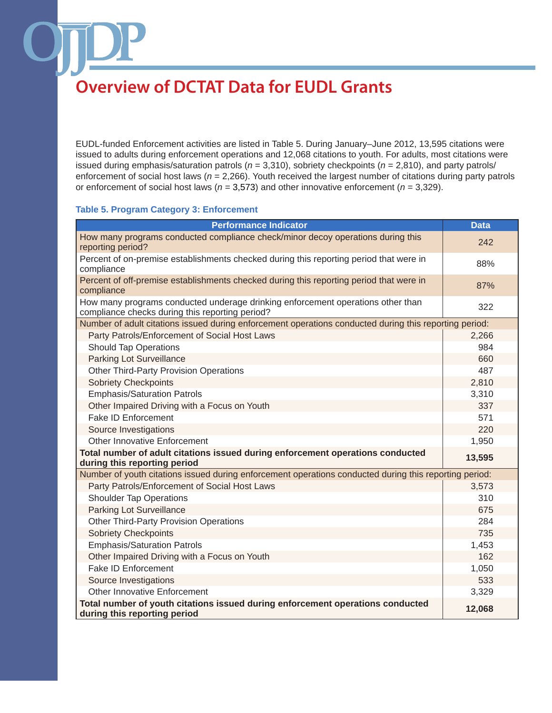EUDL-funded Enforcement activities are listed in Table 5. During January–June 2012, 13,595 citations were issued to adults during enforcement operations and 12,068 citations to youth. For adults, most citations were issued during emphasis/saturation patrols (*n* = 3,310), sobriety checkpoints (*n* = 2,810), and party patrols/ enforcement of social host laws (*n* = 2,266). Youth received the largest number of citations during party patrols or enforcement of social host laws (*n* = 3,573) and other innovative enforcement (*n* = 3,329).

### **Table 5. Program Category 3: Enforcement**

| <b>Performance Indicator</b>                                                                                                       | <b>Data</b> |
|------------------------------------------------------------------------------------------------------------------------------------|-------------|
| How many programs conducted compliance check/minor decoy operations during this<br>reporting period?                               | 242         |
| Percent of on-premise establishments checked during this reporting period that were in<br>compliance                               | 88%         |
| Percent of off-premise establishments checked during this reporting period that were in<br>compliance                              | 87%         |
| How many programs conducted underage drinking enforcement operations other than<br>compliance checks during this reporting period? | 322         |
| Number of adult citations issued during enforcement operations conducted during this reporting period:                             |             |
| Party Patrols/Enforcement of Social Host Laws                                                                                      | 2,266       |
| <b>Should Tap Operations</b>                                                                                                       | 984         |
| <b>Parking Lot Surveillance</b>                                                                                                    | 660         |
| <b>Other Third-Party Provision Operations</b>                                                                                      | 487         |
| <b>Sobriety Checkpoints</b>                                                                                                        | 2,810       |
| <b>Emphasis/Saturation Patrols</b>                                                                                                 | 3,310       |
| Other Impaired Driving with a Focus on Youth                                                                                       | 337         |
| Fake ID Enforcement                                                                                                                | 571         |
| Source Investigations                                                                                                              | 220         |
| <b>Other Innovative Enforcement</b>                                                                                                | 1,950       |
| Total number of adult citations issued during enforcement operations conducted<br>during this reporting period                     | 13,595      |
| Number of youth citations issued during enforcement operations conducted during this reporting period:                             |             |
| Party Patrols/Enforcement of Social Host Laws                                                                                      | 3,573       |
| <b>Shoulder Tap Operations</b>                                                                                                     | 310         |
| <b>Parking Lot Surveillance</b>                                                                                                    | 675         |
| <b>Other Third-Party Provision Operations</b>                                                                                      | 284         |
| <b>Sobriety Checkpoints</b>                                                                                                        | 735         |
| <b>Emphasis/Saturation Patrols</b>                                                                                                 | 1,453       |
| Other Impaired Driving with a Focus on Youth                                                                                       | 162         |
| <b>Fake ID Enforcement</b>                                                                                                         | 1,050       |
| Source Investigations                                                                                                              | 533         |
| Other Innovative Enforcement                                                                                                       | 3,329       |
| Total number of youth citations issued during enforcement operations conducted<br>during this reporting period                     | 12,068      |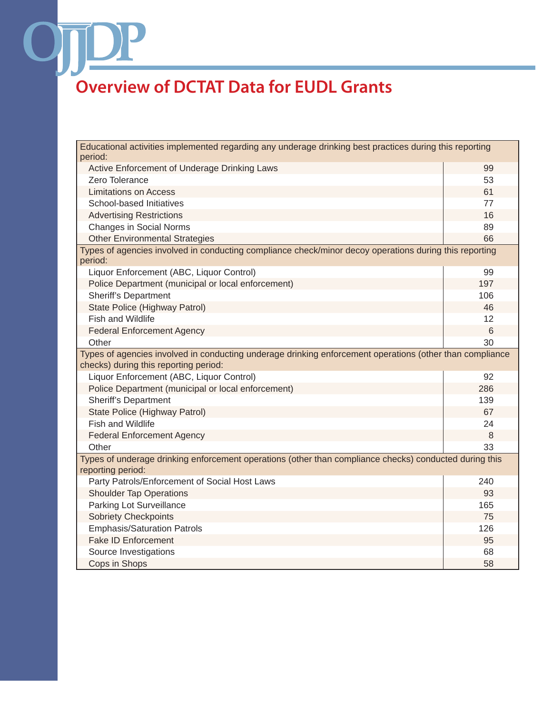OT

| Educational activities implemented regarding any underage drinking best practices during this reporting<br>period:                                |     |
|---------------------------------------------------------------------------------------------------------------------------------------------------|-----|
| Active Enforcement of Underage Drinking Laws                                                                                                      | 99  |
| Zero Tolerance                                                                                                                                    | 53  |
| <b>Limitations on Access</b>                                                                                                                      | 61  |
| School-based Initiatives                                                                                                                          | 77  |
| <b>Advertising Restrictions</b>                                                                                                                   | 16  |
| <b>Changes in Social Norms</b>                                                                                                                    | 89  |
| <b>Other Environmental Strategies</b>                                                                                                             | 66  |
| Types of agencies involved in conducting compliance check/minor decoy operations during this reporting<br>period:                                 |     |
| Liquor Enforcement (ABC, Liquor Control)                                                                                                          | 99  |
| Police Department (municipal or local enforcement)                                                                                                | 197 |
| <b>Sheriff's Department</b>                                                                                                                       | 106 |
| State Police (Highway Patrol)                                                                                                                     | 46  |
| <b>Fish and Wildlife</b>                                                                                                                          | 12  |
| <b>Federal Enforcement Agency</b>                                                                                                                 | 6   |
| Other                                                                                                                                             | 30  |
| Types of agencies involved in conducting underage drinking enforcement operations (other than compliance<br>checks) during this reporting period: |     |
| Liquor Enforcement (ABC, Liquor Control)                                                                                                          | 92  |
| Police Department (municipal or local enforcement)                                                                                                | 286 |
| <b>Sheriff's Department</b>                                                                                                                       | 139 |
| State Police (Highway Patrol)                                                                                                                     | 67  |
| Fish and Wildlife                                                                                                                                 | 24  |
| <b>Federal Enforcement Agency</b>                                                                                                                 | 8   |
| Other                                                                                                                                             | 33  |
| Types of underage drinking enforcement operations (other than compliance checks) conducted during this                                            |     |
| reporting period:<br>Party Patrols/Enforcement of Social Host Laws                                                                                | 240 |
| <b>Shoulder Tap Operations</b>                                                                                                                    | 93  |
| Parking Lot Surveillance                                                                                                                          | 165 |
| <b>Sobriety Checkpoints</b>                                                                                                                       | 75  |
| <b>Emphasis/Saturation Patrols</b>                                                                                                                | 126 |
| <b>Fake ID Enforcement</b>                                                                                                                        | 95  |
| Source Investigations                                                                                                                             | 68  |
| Cops in Shops                                                                                                                                     | 58  |